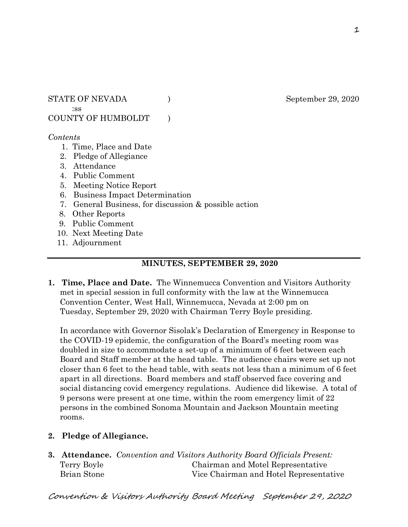STATE OF NEVADA ) September 29, 2020 :ss

COUNTY OF HUMBOLDT )

#### *Contents*

- 1. Time, Place and Date
- 2. Pledge of Allegiance
- 3. Attendance
- 4. Public Comment
- 5. Meeting Notice Report
- 6. Business Impact Determination
- 7. General Business, for discussion & possible action
- 8. Other Reports
- 9. Public Comment
- 10. Next Meeting Date
- 11. Adjournment

# **MINUTES, SEPTEMBER 29, 2020**

**1. Time, Place and Date.** The Winnemucca Convention and Visitors Authority met in special session in full conformity with the law at the Winnemucca Convention Center, West Hall, Winnemucca, Nevada at 2:00 pm on Tuesday, September 29, 2020 with Chairman Terry Boyle presiding.

In accordance with Governor Sisolak's Declaration of Emergency in Response to the COVID-19 epidemic, the configuration of the Board's meeting room was doubled in size to accommodate a set-up of a minimum of 6 feet between each Board and Staff member at the head table. The audience chairs were set up not closer than 6 feet to the head table, with seats not less than a minimum of 6 feet apart in all directions. Board members and staff observed face covering and social distancing covid emergency regulations. Audience did likewise. A total of 9 persons were present at one time, within the room emergency limit of 22 persons in the combined Sonoma Mountain and Jackson Mountain meeting rooms.

- **2. Pledge of Allegiance.**
- **3. Attendance.** *Convention and Visitors Authority Board Officials Present:*  Terry Boyle Chairman and Motel Representative Brian Stone Vice Chairman and Hotel Representative

Convention & Visitors Authority Board Meeting September 29, 2020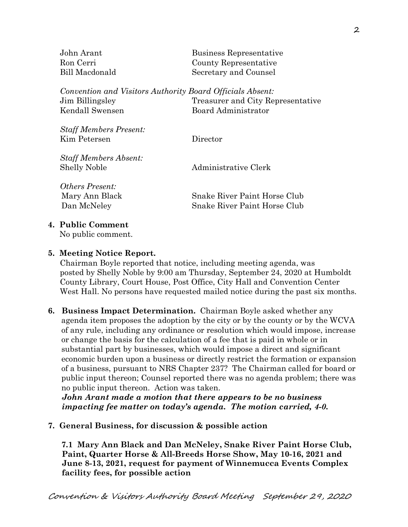| John Arant     | Business Representative                                   |
|----------------|-----------------------------------------------------------|
| Ron Cerri      | County Representative                                     |
| Bill Macdonald | Secretary and Counsel                                     |
|                |                                                           |
|                | Convention and Visitors Authority Board Officials Absent: |
|                |                                                           |

Jim Billingsley Treasurer and City Representative Kendall Swensen Board Administrator

*Staff Members Present:* Kim Petersen Director

*Staff Members Absent:* Shelly Noble **Administrative Clerk** 

*Others Present:* Mary Ann Black Snake River Paint Horse Club Dan McNeley Snake River Paint Horse Club

# **4. Public Comment**

No public comment.

# **5. Meeting Notice Report.**

Chairman Boyle reported that notice, including meeting agenda, was posted by Shelly Noble by 9:00 am Thursday, September 24, 2020 at Humboldt County Library, Court House, Post Office, City Hall and Convention Center West Hall. No persons have requested mailed notice during the past six months.

**6. Business Impact Determination.** Chairman Boyle asked whether any agenda item proposes the adoption by the city or by the county or by the WCVA of any rule, including any ordinance or resolution which would impose, increase or change the basis for the calculation of a fee that is paid in whole or in substantial part by businesses, which would impose a direct and significant economic burden upon a business or directly restrict the formation or expansion of a business, pursuant to NRS Chapter 237? The Chairman called for board or public input thereon; Counsel reported there was no agenda problem; there was no public input thereon. Action was taken.

 *John Arant made a motion that there appears to be no business impacting fee matter on today's agenda. The motion carried, 4-0.* 

# **7. General Business, for discussion & possible action**

 **7.1 Mary Ann Black and Dan McNeley, Snake River Paint Horse Club, Paint, Quarter Horse & All-Breeds Horse Show, May 10-16, 2021 and June 8-13, 2021, request for payment of Winnemucca Events Complex facility fees, for possible action**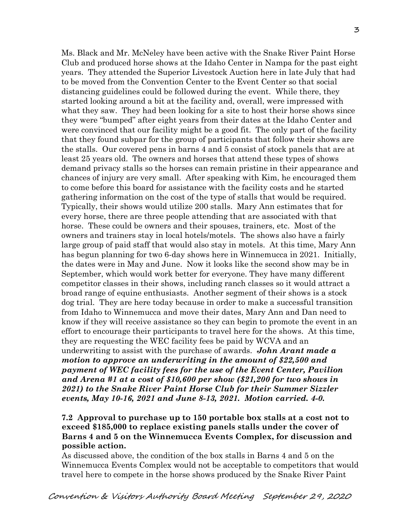Ms. Black and Mr. McNeley have been active with the Snake River Paint Horse Club and produced horse shows at the Idaho Center in Nampa for the past eight years. They attended the Superior Livestock Auction here in late July that had to be moved from the Convention Center to the Event Center so that social distancing guidelines could be followed during the event. While there, they started looking around a bit at the facility and, overall, were impressed with what they saw. They had been looking for a site to host their horse shows since they were "bumped" after eight years from their dates at the Idaho Center and were convinced that our facility might be a good fit. The only part of the facility that they found subpar for the group of participants that follow their shows are the stalls. Our covered pens in barns 4 and 5 consist of stock panels that are at least 25 years old. The owners and horses that attend these types of shows demand privacy stalls so the horses can remain pristine in their appearance and chances of injury are very small. After speaking with Kim, he encouraged them to come before this board for assistance with the facility costs and he started gathering information on the cost of the type of stalls that would be required. Typically, their shows would utilize 200 stalls. Mary Ann estimates that for every horse, there are three people attending that are associated with that horse. These could be owners and their spouses, trainers, etc. Most of the owners and trainers stay in local hotels/motels. The shows also have a fairly large group of paid staff that would also stay in motels. At this time, Mary Ann has begun planning for two 6-day shows here in Winnemucca in 2021. Initially, the dates were in May and June. Now it looks like the second show may be in September, which would work better for everyone. They have many different competitor classes in their shows, including ranch classes so it would attract a broad range of equine enthusiasts. Another segment of their shows is a stock dog trial. They are here today because in order to make a successful transition from Idaho to Winnemucca and move their dates, Mary Ann and Dan need to know if they will receive assistance so they can begin to promote the event in an effort to encourage their participants to travel here for the shows. At this time, they are requesting the WEC facility fees be paid by WCVA and an underwriting to assist with the purchase of awards. *John Arant made a motion to approve an underwriting in the amount of \$22,500 and payment of WEC facility fees for the use of the Event Center, Pavilion and Arena #1 at a cost of \$10,600 per show (\$21,200 for two shows in 2021) to the Snake River Paint Horse Club for their Summer Sizzler events, May 10-16, 2021 and June 8-13, 2021. Motion carried. 4-0.* 

#### **7.2 Approval to purchase up to 150 portable box stalls at a cost not to exceed \$185,000 to replace existing panels stalls under the cover of Barns 4 and 5 on the Winnemucca Events Complex, for discussion and possible action.**

As discussed above, the condition of the box stalls in Barns 4 and 5 on the Winnemucca Events Complex would not be acceptable to competitors that would travel here to compete in the horse shows produced by the Snake River Paint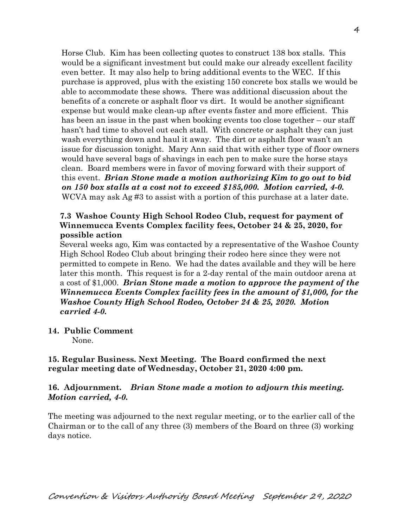Horse Club. Kim has been collecting quotes to construct 138 box stalls. This would be a significant investment but could make our already excellent facility even better. It may also help to bring additional events to the WEC. If this purchase is approved, plus with the existing 150 concrete box stalls we would be able to accommodate these shows. There was additional discussion about the benefits of a concrete or asphalt floor vs dirt. It would be another significant expense but would make clean-up after events faster and more efficient. This has been an issue in the past when booking events too close together – our staff hasn't had time to shovel out each stall. With concrete or asphalt they can just wash everything down and haul it away. The dirt or asphalt floor wasn't an issue for discussion tonight. Mary Ann said that with either type of floor owners would have several bags of shavings in each pen to make sure the horse stays clean. Board members were in favor of moving forward with their support of this event. *Brian Stone made a motion authorizing Kim to go out to bid on 150 box stalls at a cost not to exceed \$185,000. Motion carried, 4-0.*  WCVA may ask Ag #3 to assist with a portion of this purchase at a later date.

#### **7.3 Washoe County High School Rodeo Club, request for payment of Winnemucca Events Complex facility fees, October 24 & 25, 2020, for possible action**

Several weeks ago, Kim was contacted by a representative of the Washoe County High School Rodeo Club about bringing their rodeo here since they were not permitted to compete in Reno. We had the dates available and they will be here later this month. This request is for a 2-day rental of the main outdoor arena at a cost of \$1,000. *Brian Stone made a motion to approve the payment of the Winnemucca Events Complex facility fees in the amount of \$1,000, for the Washoe County High School Rodeo, October 24 & 25, 2020. Motion carried 4-0.*

**14. Public Comment** 

None.

# **15. Regular Business. Next Meeting. The Board confirmed the next regular meeting date of Wednesday, October 21, 2020 4:00 pm.**

#### **16. Adjournment.** *Brian Stone made a motion to adjourn this meeting. Motion carried, 4-0.*

The meeting was adjourned to the next regular meeting, or to the earlier call of the Chairman or to the call of any three (3) members of the Board on three (3) working days notice.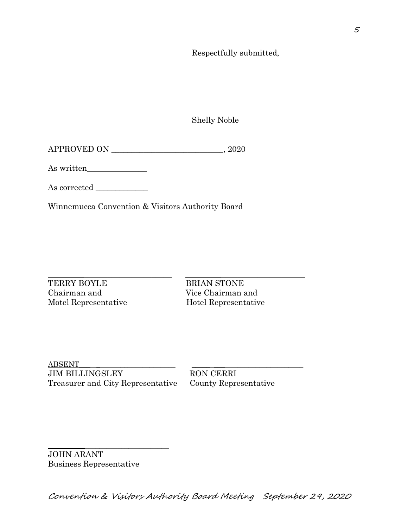Respectfully submitted,

Shelly Noble

| APPROVED ON | <b>2020</b> |
|-------------|-------------|
|             |             |

As written\_\_\_\_\_\_\_\_\_\_\_\_\_\_\_

As corrected \_\_\_\_\_\_\_\_\_\_\_\_\_

Winnemucca Convention & Visitors Authority Board

TERRY BOYLE BRIAN STONE Chairman and Vice Chairman and Motel Representative Hotel Representative

\_\_\_\_\_\_\_\_\_\_\_\_\_\_\_\_\_\_\_\_\_\_\_\_\_\_\_\_\_\_\_ \_\_\_\_\_\_\_\_\_\_\_\_\_\_\_\_\_\_\_\_\_\_\_\_\_\_\_\_\_\_

ABSENT\_\_\_ \_ \_\_\_\_\_\_\_\_\_\_\_\_\_\_\_ \_\_\_\_\_ \_\_\_ \_\_\_\_\_\_\_\_\_\_\_\_\_\_\_\_\_\_ JIM BILLINGSLEY RON CERRI Treasurer and City Representative County Representative

\_\_\_\_\_\_\_\_\_\_\_\_\_\_\_\_\_\_\_\_\_\_\_\_\_\_\_\_\_\_\_\_\_

JOHN ARANT Business Representative

Convention & Visitors Authority Board Meeting September 29, 2020